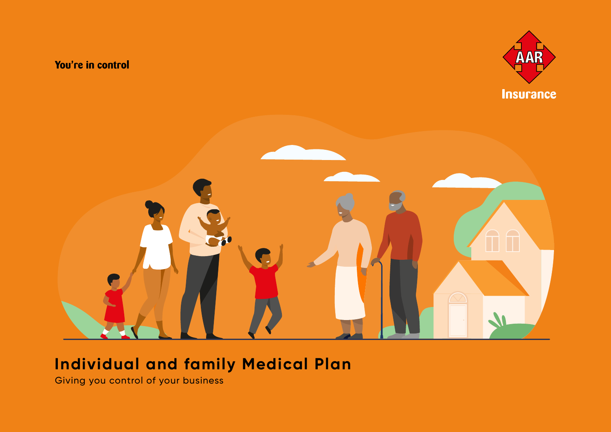### You're in control





### **Individual and family Medical Plan**

Giving you control of your business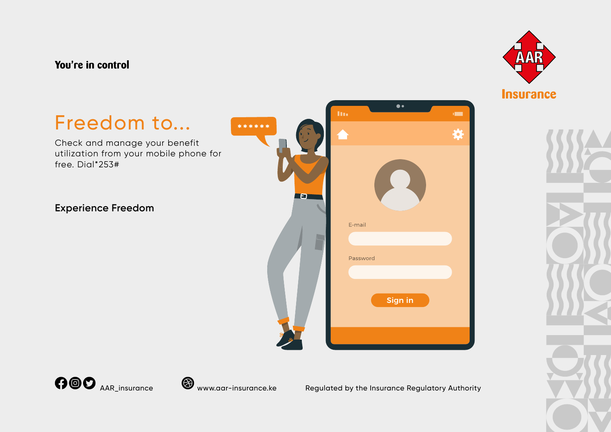### You're in control











Regulated by the Insurance Regulatory Authority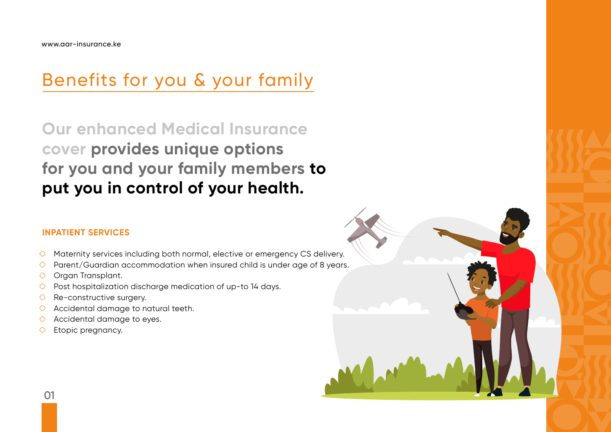# Benefits for you & your family

**Our enhanced Medical Insurance cover provides unique options for you and your family members to put you in control of your health.**

### **INPATIENT SERVICES**

- $\circ$  Maternity services including both normal, elective or emergency CS delivery.
- $\circ$  Parent/Guardian accommodation when insured child is under age of 8 years.
- O Organ Transplant.
- $\circ$  Post hospitalization discharge medication of up-to 14 days.
- $\circ$  Re-constructive surgery.
- Accidental damage to natural teeth.
- Accidental damage to eyes.  $\circ$
- Etopic pregnancy.  $\circ$

01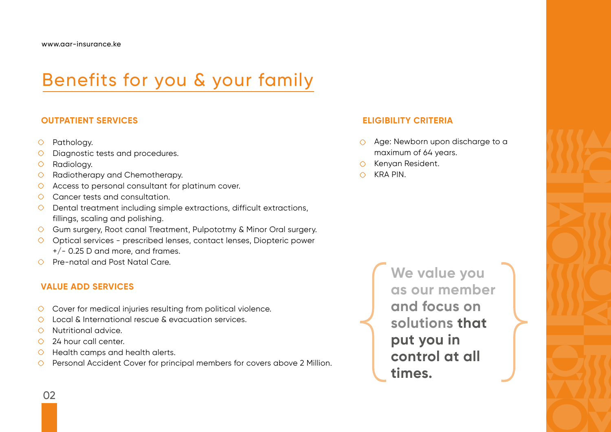# Benefits for you & your family

#### **OUTPATIENT SERVICES**

- Pathology.  $\circ$
- Diagnostic tests and procedures.
- Radiology.  $\circ$
- Radiotherapy and Chemotherapy.  $\circ$
- Access to personal consultant for platinum cover.  $\circ$
- Cancer tests and consultation.  $\circ$
- $\circ$  Dental treatment including simple extractions, difficult extractions, fillings, scaling and polishing.
- Gum surgery, Root canal Treatment, Pulpototmy & Minor Oral surgery.
- $\circ$  Optical services prescribed lenses, contact lenses, Diopteric power +/- 0.25 D and more, and frames.
- Pre-natal and Post Natal Care.

### **VALUE ADD SERVICES**

- $\circ$  Cover for medical injuries resulting from political violence.
- Local & International rescue & evacuation services.  $\circ$
- Nutritional advice.  $\circ$
- 24 hour call center.  $\circ$
- Health camps and health alerts.  $\circ$
- Personal Accident Cover for principal members for covers above 2 Million.  $\circ$

### **ELIGIBILITY CRITERIA**

- Age: Newborn upon discharge to a  $\circ$ maximum of 64 years.
- Kenyan Resident.
- KRA PIN. $\bigcirc$

**We value you as our member and focus on solutions that put you in control at all times.**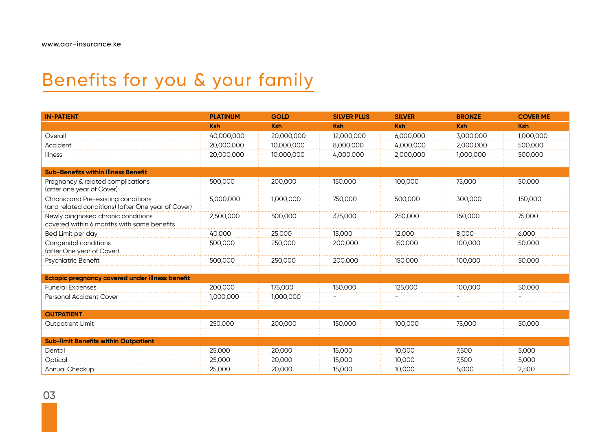## Benefits for you & your family

| <b>IN-PATIENT</b>                                                                         | <b>PLATINUM</b> | <b>GOLD</b> | <b>SILVER PLUS</b> | <b>SILVER</b> | <b>BRONZE</b> | <b>COVER ME</b> |
|-------------------------------------------------------------------------------------------|-----------------|-------------|--------------------|---------------|---------------|-----------------|
|                                                                                           | <b>Ksh</b>      | <b>Ksh</b>  | <b>Ksh</b>         | <b>Ksh</b>    | <b>Ksh</b>    | <b>Ksh</b>      |
| Overall                                                                                   | 40,000,000      | 20,000,000  | 12,000,000         | 6,000,000     | 3,000,000     | 1,000,000       |
| Accident                                                                                  | 20,000,000      | 10,000,000  | 8,000,000          | 4,000,000     | 2,000,000     | 500,000         |
| <b>Illness</b>                                                                            | 20,000,000      | 10.000.000  | 4.000.000          | 2,000,000     | 1.000.000     | 500.000         |
|                                                                                           |                 |             |                    |               |               |                 |
| <b>Sub-Benefits within Illness Benefit</b>                                                |                 |             |                    |               |               |                 |
| Pregnancy & related complications<br>(after one year of Cover)                            | 500,000         | 200,000     | 150,000            | 100,000       | 75,000        | 50,000          |
| Chronic and Pre-existing conditions<br>(and related conditions) (after One year of Cover) | 5,000,000       | 1,000,000   | 750,000            | 500,000       | 300,000       | 150,000         |
| Newly diagnosed chronic conditions<br>covered within 6 months with same benefits          | 2,500,000       | 500,000     | 375,000            | 250,000       | 150,000       | 75,000          |
| Bed Limit per day                                                                         | 40.000          | 25,000      | 15,000             | 12.000        | 8,000         | 6,000           |
| Congenital conditions<br>(after One year of Cover)                                        | 500,000         | 250,000     | 200,000            | 150,000       | 100,000       | 50,000          |
| Psychiatric Benefit                                                                       | 500.000         | 250.000     | 200.000            | 150,000       | 100.000       | 50,000          |
|                                                                                           |                 |             |                    |               |               |                 |
| <b>Ectopic pregnancy covered under illness benefit</b>                                    |                 |             |                    |               |               |                 |
| <b>Funeral Expenses</b>                                                                   | 200,000         | 175,000     | 150,000            | 125,000       | 100,000       | 50,000          |
| Personal Accident Cover                                                                   | 1,000,000       | 1,000,000   |                    |               |               |                 |
|                                                                                           |                 |             |                    |               |               |                 |
| <b>OUTPATIENT</b>                                                                         |                 |             |                    |               |               |                 |
| <b>Outpatient Limit</b>                                                                   | 250,000         | 200.000     | 150.000            | 100.000       | 75,000        | 50.000          |
| <b>Sub-limit Benefits within Outpatient</b>                                               |                 |             |                    |               |               |                 |
| Dental                                                                                    | 25,000          | 20,000      | 15,000             | 10,000        | 7,500         | 5,000           |
| Optical                                                                                   | 25,000          | 20,000      | 15,000             | 10.000        | 7.500         | 5,000           |
| <b>Annual Checkup</b>                                                                     | 25,000          | 20,000      | 15,000             | 10,000        | 5,000         | 2,500           |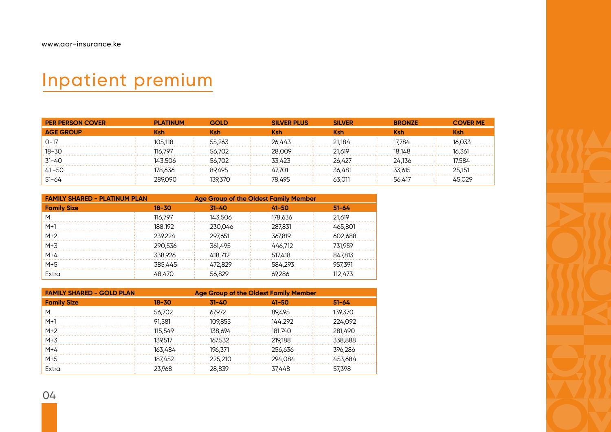# Inpatient premium

| <b>PER PERSON COVER</b> | <b>PLATINUM</b> | GOLD       | <b>SILVER PLUS</b> | <b>SILVER</b> | <b>BRONZE</b> | <b>COVER ME</b> |
|-------------------------|-----------------|------------|--------------------|---------------|---------------|-----------------|
| <b>AGE GROUP</b>        | Ksh             | <b>Ksh</b> | <b>Ksh</b>         | Ksh           | <b>Ksh</b>    | Ksh             |
| $O-17$                  | 105.118         | 55.263     | 26.443             | 21.184        | 17.784        | 16.033          |
| 18-30                   | 116797          | 56.702     | 28.009             | 21,619        | 18.148        | 16.361          |
| 31-40                   | 143.506         | 56.702     | 33 423             | 26 427        | 24.136        | 17584           |
| 41 - 50                 | 178.636         | 89.495     | 47701              | 36 481        | 33 615        | 25.151          |
| -51-64                  | 289090          | 139.370    | 78.495             | 63.011        | 56 417        | 45,029          |

| <b>FAMILY SHARED - PLATINUM PLAN</b> | <b>Age Group of the Oldest Family Member</b> |           |           |           |
|--------------------------------------|----------------------------------------------|-----------|-----------|-----------|
| <b>Family Size</b>                   | $18 - 30$                                    | $31 - 40$ | $41 - 50$ | $51 - 64$ |
| M                                    | 116,797                                      | 143,506   | 178,636   | 21,619    |
| $M+1$                                | 188,192                                      | 230,046   | 287,831   | 465,801   |
| $M+2$                                | 239,224                                      | 297,651   | 367,819   | 602,688   |
| $M+3$                                | 290.536                                      | 361.495   | 446.712   | 731.959   |
| $M+4$                                | 338.926                                      | 418.712   | 517.418   | 847.813   |
| $M+5$                                | 385.445                                      | 472.829   | 584,293   | 957.391   |
| Extra                                | 48.470                                       | 56.829    | 69.286    | 112.473   |

| <b>FAMILY SHARED - GOLD PLAN</b> |           | <b>Age Group of the Oldest Family Member</b> |           |           |  |  |  |
|----------------------------------|-----------|----------------------------------------------|-----------|-----------|--|--|--|
| <b>Family Size</b>               | $18 - 30$ | $31 - 40$                                    | $41 - 50$ | $51 - 64$ |  |  |  |
| M                                | 56.702    | 67.972                                       | 89.495    | 139.370   |  |  |  |
| $M+1$                            | 91.581    | 109,855                                      | 144.292   | 224.092   |  |  |  |
| $M+2$                            | 115.549   | 138.694                                      | 181.740   | 281.490   |  |  |  |
| $M+3$                            | 139.517   | 167.532                                      | 219.188   | 338.888   |  |  |  |
| $M+4$                            | 163.484   | 196.371                                      | 256.636   | 396.286   |  |  |  |
| $M+5$                            | 187.452   | 225.210                                      | 294.084   | 453.684   |  |  |  |
| Extra                            | 23.968    | 28.839                                       | 37.448    | 57.398    |  |  |  |

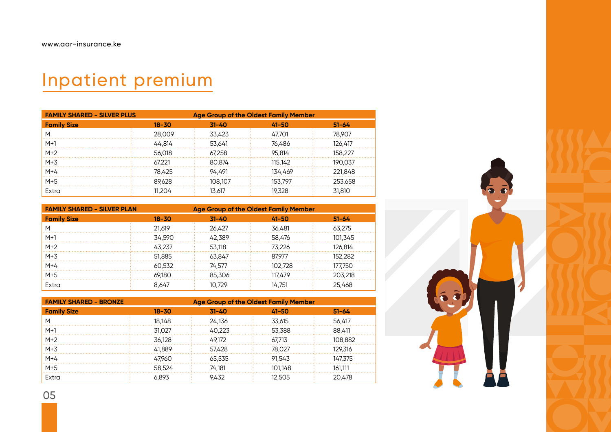# Inpatient premium

| <b>FAMILY SHARED - SILVER PLUS</b> |           | <b>Age Group of the Oldest Family Member</b> |           |           |  |  |
|------------------------------------|-----------|----------------------------------------------|-----------|-----------|--|--|
| <b>Family Size</b>                 | $18 - 30$ | $31 - 40$                                    | $41 - 50$ | $51 - 64$ |  |  |
| M                                  | 28,009    | 33,423                                       | 47.701    | 78.907    |  |  |
| $M+1$                              | 44.814    | 53.641                                       | 76.486    | 126.417   |  |  |
| $M+2$                              | 56.018    | 67.258                                       | 95.814    | 158.227   |  |  |
| $M+3$                              | 67.221    | 80.874                                       | 115.142   | 190.037   |  |  |
| $M+4$                              | 78.425    | 94.491                                       | 134.469   | 221.848   |  |  |
| $M+5$                              | 89.628    | 108.107                                      | 153.797   | 253,658   |  |  |
| Extra                              | 11.204    | 13.617                                       | 19.328    | 31,810    |  |  |

| <b>FAMILY SHARED - SILVER PLAN</b> |           | <b>Age Group of the Oldest Family Member</b> |           |           |  |  |
|------------------------------------|-----------|----------------------------------------------|-----------|-----------|--|--|
| <b>Family Size</b>                 | $18 - 30$ | $31 - 40$                                    | $41 - 50$ | $51 - 64$ |  |  |
| M                                  | 21.619    | 26.427                                       | 36,481    | 63.275    |  |  |
| $M+1$                              | 34.590    | 42.389                                       | 58.476    | 101.345   |  |  |
| $M+2$                              | 43.237    | 53.118                                       | 73.226    | 126.814   |  |  |
| $M+3$                              | 51.885    | 63.847                                       | 87.977    | 152.282   |  |  |
| $M+4$                              | 60.532    | 74.577                                       | 102 728   | 177.750   |  |  |
| $M+5$                              | 69.180    | 85.306                                       | 117.479   | 203.218   |  |  |
| Extra                              | 8,647     | 10.729                                       | 14.751    | 25.468    |  |  |

| <b>FAMILY SHARED - BRONZE</b> | <b>Age Group of the Oldest Family Member</b> |           |           |           |  |  |  |
|-------------------------------|----------------------------------------------|-----------|-----------|-----------|--|--|--|
| <b>Family Size</b>            | $18 - 30$                                    | $31 - 40$ | $41 - 50$ | $51 - 64$ |  |  |  |
| M                             | 18.148                                       | 24,136    | 33,615    | 56,417    |  |  |  |
| $M+1$                         | 31.027                                       | 40.223    | 53,388    | 88.411    |  |  |  |
| $M+2$                         | 36.128                                       | 49.172    | 67.713    | 108,882   |  |  |  |
| $M+3$                         | 41.889                                       | 57.428    | 78.027    | 129.316   |  |  |  |
| $M+4$                         | 47.960                                       | 65,535    | 91,543    | 147.375   |  |  |  |
| $M+5$                         | 58.524                                       | 74.181    | 101.148   | 161.111   |  |  |  |
| Extra                         | 6.893                                        | 9.432     | 12.505    | 20.478    |  |  |  |



05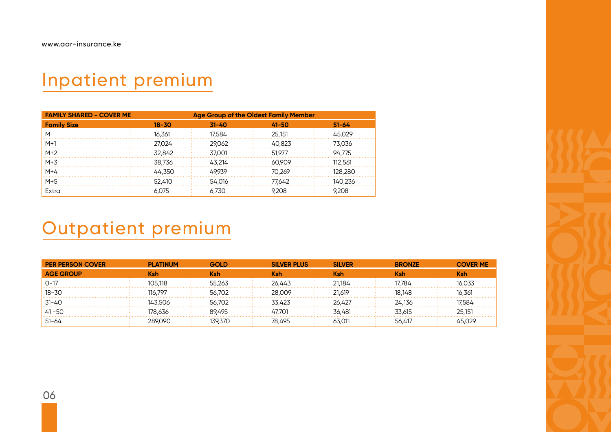### Inpatient premium

| <b>FAMILY SHARED - COVER ME</b> |           | <b>Age Group of the Oldest Family Member</b> |           |           |  |  |
|---------------------------------|-----------|----------------------------------------------|-----------|-----------|--|--|
| <b>Family Size</b>              | $18 - 30$ | $31 - 40$                                    | $41 - 50$ | $51 - 64$ |  |  |
| M                               | 16.361    | 17.584                                       | 25,151    | 45.029    |  |  |
| $M+1$                           | 27.024    | 29.062                                       | 40.823    | 73.036    |  |  |
| $M+2$                           | 32.842    | 37.001                                       | 51.977    | 94.775    |  |  |
| $M+3$                           | 38.736    | 43.214                                       | 60.909    | 112.561   |  |  |
| $M+4$                           | 44.350    | 49.939                                       | 70.269    | 128.280   |  |  |
| $M+5$                           | 52.410    | 54.016                                       | 77.642    | 140.236   |  |  |
| Extra                           | 6.075     | 6.730                                        | 9.208     | 9.208     |  |  |

### Outpatient premium

| <b>PER PERSON COVER</b> | <b>PLATINUM</b> | GOI D   | <b>SILVER PLUS</b> | <b>SILVER</b> | <b>BRONZE</b> | <b>COVER ME</b> |
|-------------------------|-----------------|---------|--------------------|---------------|---------------|-----------------|
| <b>AGE GROUP</b>        | Ksh             | Ksh     | <b>Ksh</b>         | Ksh           | Ksh           | <b>Ksh</b>      |
| $O-17$                  | 105.118         | 55.263  | 26.443             | 21.184        | 17.784        | 16.033          |
| $18 - 30$               | 116 797         | 56.702  | 28.009             | 21.619        | 18.148        | 16,361          |
| 31-40                   | 143.506         | 56.702  | 33.423             | 26 427        | 24.136        | 17.584          |
| 41 - 50                 | 78 636          | 89495   | 47701              | 36.481        | 33.615        | 25.151          |
| $51 - 64$               | 289090          | 139.370 | 78.495             | 63 O11        | 56.417        | 45 029          |

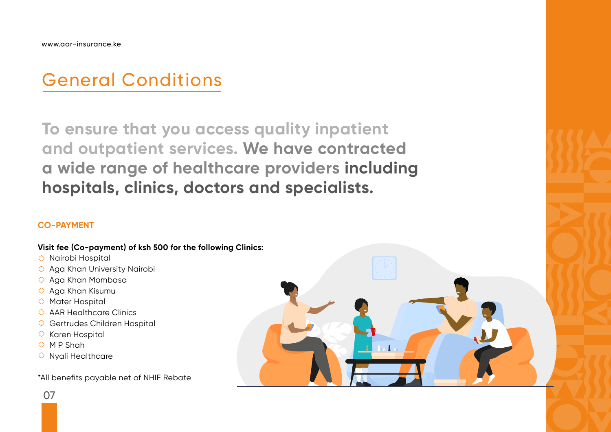# General Conditions

**To ensure that you access quality inpatient and outpatient services. We have contracted a wide range of healthcare providers including hospitals, clinics, doctors and specialists.**

### **CO-PAYMENT**

### **Visit fee (Co-payment) of ksh 500 for the following Clinics:**

- Nairobi Hospital
- Aga Khan University Nairobi
- Aga Khan Mombasa
- Aga Khan Kisumu
- Mater Hospital
- $\circ$  AAR Healthcare Clinics
- Gertrudes Children Hospital
- $\circ$  Karen Hospital
- $O$  M P Shah
- $\circ$  Nyali Healthcare

\*All benefits payable net of NHIF Rebate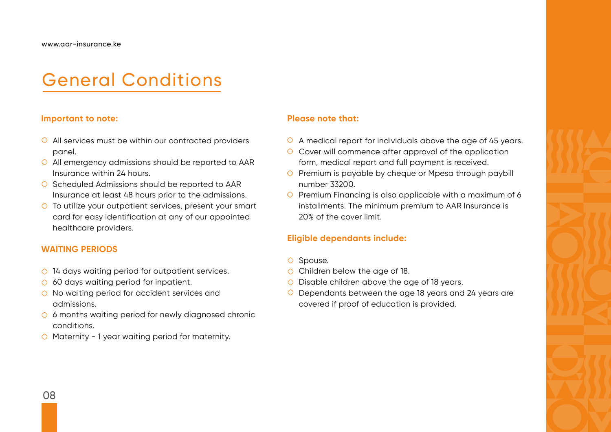## General Conditions

#### **Important to note:**

- $\Diamond$  All services must be within our contracted providers panel.
- $\Diamond$  All emergency admissions should be reported to AAR Insurance within 24 hours.
- $\circ$  Scheduled Admissions should be reported to AAR Insurance at least 48 hours prior to the admissions.
- $\circ$  To utilize your outpatient services, present your smart card for easy identification at any of our appointed healthcare providers.

### **WAITING PERIODS**

- $\circ$  14 days waiting period for outpatient services.
- $\circ$  60 days waiting period for inpatient.
- $\Diamond$  No waiting period for accident services and admissions.
- $\circ$  6 months waiting period for newly diagnosed chronic conditions.
- $\circ$  Maternity 1 year waiting period for maternity.

#### **Please note that:**

- $\circ$  A medical report for individuals above the age of 45 years.
- $\circ$  Cover will commence after approval of the application form, medical report and full payment is received.
- $\circ$  Premium is payable by cheque or Mpesa through paybill number 33200.
- $\circ$  Premium Financing is also applicable with a maximum of 6 installments. The minimum premium to AAR Insurance is 20% of the cover limit.

### **Eligible dependants include:**

- $\circ$  Spouse.
- $\circ$  Children below the age of 18.
- $\circ$  Disable children above the age of 18 years.
- $\circ$  Dependants between the age 18 years and 24 years are covered if proof of education is provided.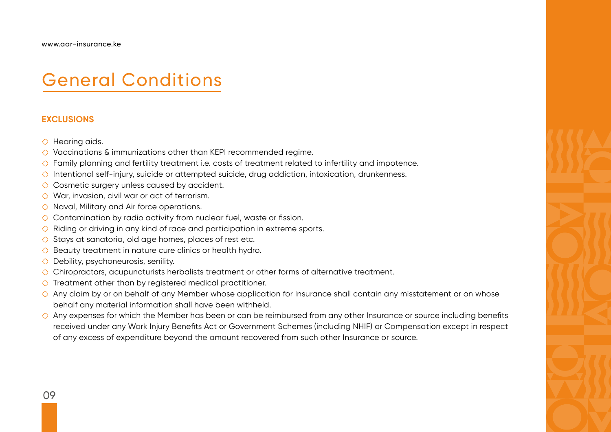### General Conditions

#### **EXCLUSIONS**

- $\circ$  Hearing aids.
- ◯ Vaccinations & immunizations other than KEPI recommended regime.
- Family planning and fertility treatment i.e. costs of treatment related to infertility and impotence.
- $\circ$  Intentional self-injury, suicide or attempted suicide, drug addiction, intoxication, drunkenness.
- ◯ Cosmetic surgery unless caused by accident.
- War, invasion, civil war or act of terrorism.
- $\circ$  Naval, Military and Air force operations.
- $\circ$  Contamination by radio activity from nuclear fuel, waste or fission.
- $\circ$  Riding or driving in any kind of race and participation in extreme sports.
- $\circ$  Stays at sanatoria, old age homes, places of rest etc.
- $\circ$  Beauty treatment in nature cure clinics or health hydro.
- $\circ$  Debility, psychoneurosis, senility.
- Chiropractors, acupuncturists herbalists treatment or other forms of alternative treatment.
- $\circ$  Treatment other than by registered medical practitioner.
- Any claim by or on behalf of any Member whose application for Insurance shall contain any misstatement or on whose behalf any material information shall have been withheld.
- $\Diamond$  Any expenses for which the Member has been or can be reimbursed from any other Insurance or source including benefits received under any Work Injury Benefits Act or Government Schemes (including NHIF) or Compensation except in respect of any excess of expenditure beyond the amount recovered from such other Insurance or source.